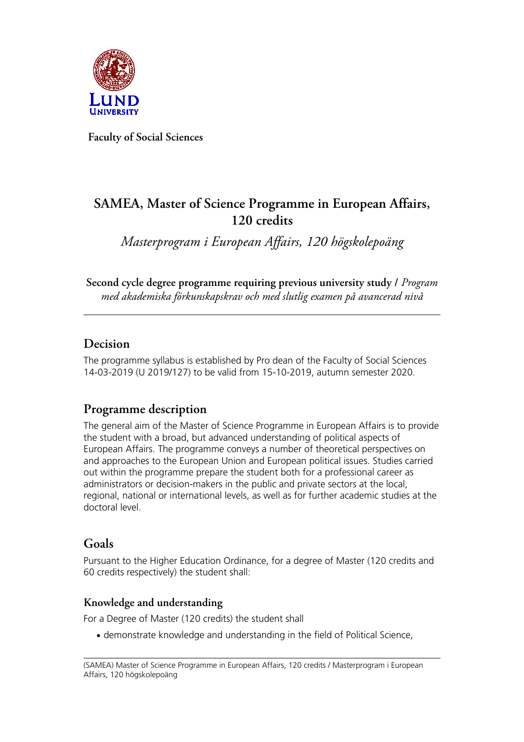

**Faculty of Social Sciences**

# **SAMEA, Master of Science Programme in European Affairs, 120 credits**

*Masterprogram i European Affairs, 120 högskolepoäng*

**Second cycle degree programme requiring previous university study /** *Program med akademiska förkunskapskrav och med slutlig examen på avancerad nivå*

## **Decision**

The programme syllabus is established by Pro dean of the Faculty of Social Sciences 14-03-2019 (U 2019/127) to be valid from 15-10-2019, autumn semester 2020.

## **Programme description**

The general aim of the Master of Science Programme in European Affairs is to provide the student with a broad, but advanced understanding of political aspects of European Affairs. The programme conveys a number of theoretical perspectives on and approaches to the European Union and European political issues. Studies carried out within the programme prepare the student both for a professional career as administrators or decision-makers in the public and private sectors at the local, regional, national or international levels, as well as for further academic studies at the doctoral level.

## **Goals**

Pursuant to the Higher Education Ordinance, for a degree of Master (120 credits and 60 credits respectively) the student shall:

### **Knowledge and understanding**

For a Degree of Master (120 credits) the student shall

• demonstrate knowledge and understanding in the field of Political Science,

<sup>(</sup>SAMEA) Master of Science Programme in European Affairs, 120 credits / Masterprogram i European Affairs, 120 högskolepoäng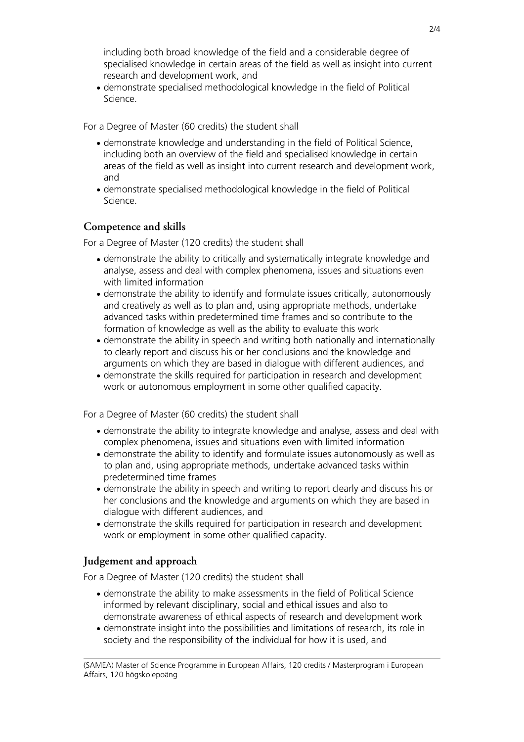including both broad knowledge of the field and a considerable degree of specialised knowledge in certain areas of the field as well as insight into current research and development work, and

• demonstrate specialised methodological knowledge in the field of Political Science.

For a Degree of Master (60 credits) the student shall

- demonstrate knowledge and understanding in the field of Political Science, including both an overview of the field and specialised knowledge in certain areas of the field as well as insight into current research and development work, and
- demonstrate specialised methodological knowledge in the field of Political Science.

#### **Competence and skills**

For a Degree of Master (120 credits) the student shall

- demonstrate the ability to critically and systematically integrate knowledge and analyse, assess and deal with complex phenomena, issues and situations even with limited information
- demonstrate the ability to identify and formulate issues critically, autonomously and creatively as well as to plan and, using appropriate methods, undertake advanced tasks within predetermined time frames and so contribute to the formation of knowledge as well as the ability to evaluate this work
- demonstrate the ability in speech and writing both nationally and internationally to clearly report and discuss his or her conclusions and the knowledge and arguments on which they are based in dialogue with different audiences, and
- demonstrate the skills required for participation in research and development work or autonomous employment in some other qualified capacity.

For a Degree of Master (60 credits) the student shall

- demonstrate the ability to integrate knowledge and analyse, assess and deal with complex phenomena, issues and situations even with limited information
- demonstrate the ability to identify and formulate issues autonomously as well as to plan and, using appropriate methods, undertake advanced tasks within predetermined time frames
- demonstrate the ability in speech and writing to report clearly and discuss his or her conclusions and the knowledge and arguments on which they are based in dialogue with different audiences, and
- demonstrate the skills required for participation in research and development work or employment in some other qualified capacity.

#### **Judgement and approach**

For a Degree of Master (120 credits) the student shall

- demonstrate the ability to make assessments in the field of Political Science informed by relevant disciplinary, social and ethical issues and also to demonstrate awareness of ethical aspects of research and development work
- demonstrate insight into the possibilities and limitations of research, its role in society and the responsibility of the individual for how it is used, and

 $2/4$ 

(SAMEA) Master of Science Programme in European Affairs, 120 credits / Masterprogram i European Affairs, 120 högskolepoäng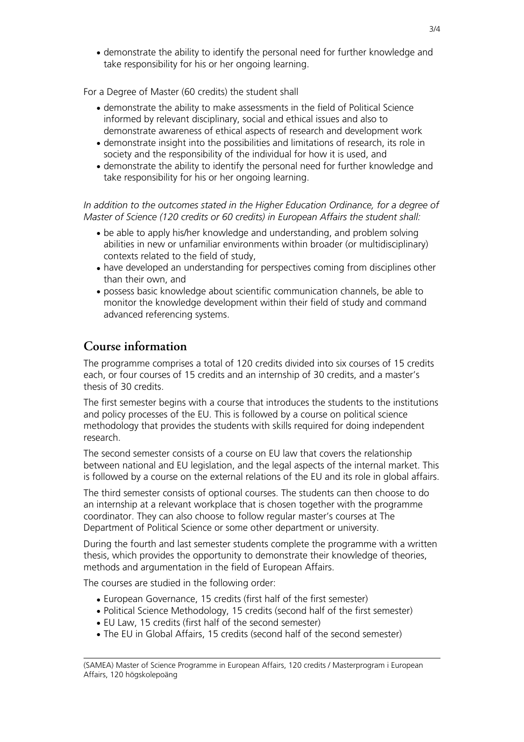• demonstrate the ability to identify the personal need for further knowledge and take responsibility for his or her ongoing learning.

For a Degree of Master (60 credits) the student shall

- demonstrate the ability to make assessments in the field of Political Science informed by relevant disciplinary, social and ethical issues and also to demonstrate awareness of ethical aspects of research and development work
- demonstrate insight into the possibilities and limitations of research, its role in society and the responsibility of the individual for how it is used, and
- demonstrate the ability to identify the personal need for further knowledge and take responsibility for his or her ongoing learning.

*In addition to the outcomes stated in the Higher Education Ordinance, for a degree of Master of Science (120 credits or 60 credits) in European Affairs the student shall:*

- be able to apply his/her knowledge and understanding, and problem solving abilities in new or unfamiliar environments within broader (or multidisciplinary) contexts related to the field of study,
- have developed an understanding for perspectives coming from disciplines other than their own, and
- possess basic knowledge about scientific communication channels, be able to monitor the knowledge development within their field of study and command advanced referencing systems.

### **Course information**

The programme comprises a total of 120 credits divided into six courses of 15 credits each, or four courses of 15 credits and an internship of 30 credits, and a master's thesis of 30 credits.

The first semester begins with a course that introduces the students to the institutions and policy processes of the EU. This is followed by a course on political science methodology that provides the students with skills required for doing independent research.

The second semester consists of a course on EU law that covers the relationship between national and EU legislation, and the legal aspects of the internal market. This is followed by a course on the external relations of the EU and its role in global affairs.

The third semester consists of optional courses. The students can then choose to do an internship at a relevant workplace that is chosen together with the programme coordinator. They can also choose to follow regular master's courses at The Department of Political Science or some other department or university.

During the fourth and last semester students complete the programme with a written thesis, which provides the opportunity to demonstrate their knowledge of theories, methods and argumentation in the field of European Affairs.

The courses are studied in the following order:

- European Governance, 15 credits (first half of the first semester)
- Political Science Methodology, 15 credits (second half of the first semester)
- EU Law, 15 credits (first half of the second semester)
- The EU in Global Affairs, 15 credits (second half of the second semester)